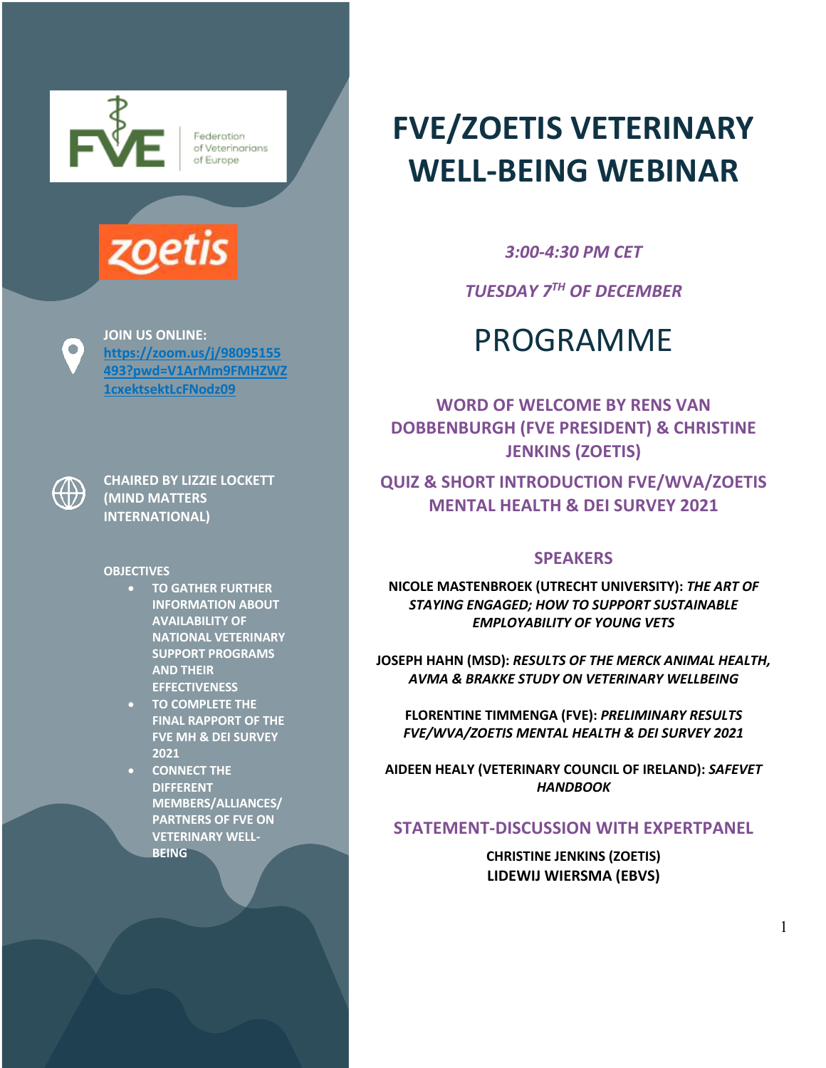

Federation of Veterinarians of Europe



**JOIN US ONLINE: https://zoom.us/j/98095155 493?pwd=V1ArMm9FMHZWZ 1cxektsektLcFNodz09**

 $\bigoplus$ 

 $\bigcirc$ 

**CHAIRED BY LIZZIE LOCKETT (MIND MATTERS INTERNATIONAL)**

**OBJECTIVES**

- **TO GATHER FURTHER INFORMATION ABOUT AVAILABILITY OF NATIONAL VETERINARY SUPPORT PROGRAMS AND THEIR EFFECTIVENESS**
- **TO COMPLETE THE FINAL RAPPORT OF THE FVE MH & DEI SURVEY 2021**
- **CONNECT THE DIFFERENT MEMBERS/ALLIANCES/ PARTNERS OF FVE ON VETERINARY WELL-BEING**

# **FVE/ZOETIS VETERINARY WELL-BEING WEBINAR**

*3:00-4:30 PM CET*

*TUESDAY 7TH OF DECEMBER*

## PROGRAMME

**WORD OF WELCOME BY RENS VAN DOBBENBURGH (FVE PRESIDENT) & CHRISTINE JENKINS (ZOETIS)**

**QUIZ & SHORT INTRODUCTION FVE/WVA/ZOETIS MENTAL HEALTH & DEI SURVEY 2021**

### **SPEAKERS**

**NICOLE MASTENBROEK (UTRECHT UNIVERSITY):** *THE ART OF STAYING ENGAGED; HOW TO SUPPORT SUSTAINABLE EMPLOYABILITY OF YOUNG VETS*

**JOSEPH HAHN (MSD):** *RESULTS OF THE MERCK ANIMAL HEALTH, AVMA & BRAKKE STUDY ON VETERINARY WELLBEING*

**FLORENTINE TIMMENGA (FVE):** *PRELIMINARY RESULTS FVE/WVA/ZOETIS MENTAL HEALTH & DEI SURVEY 2021*

**AIDEEN HEALY (VETERINARY COUNCIL OF IRELAND):** *SAFEVET HANDBOOK*

## **STATEMENT-DISCUSSION WITH EXPERTPANEL**

**CHRISTINE JENKINS (ZOETIS) LIDEWIJ WIERSMA (EBVS)**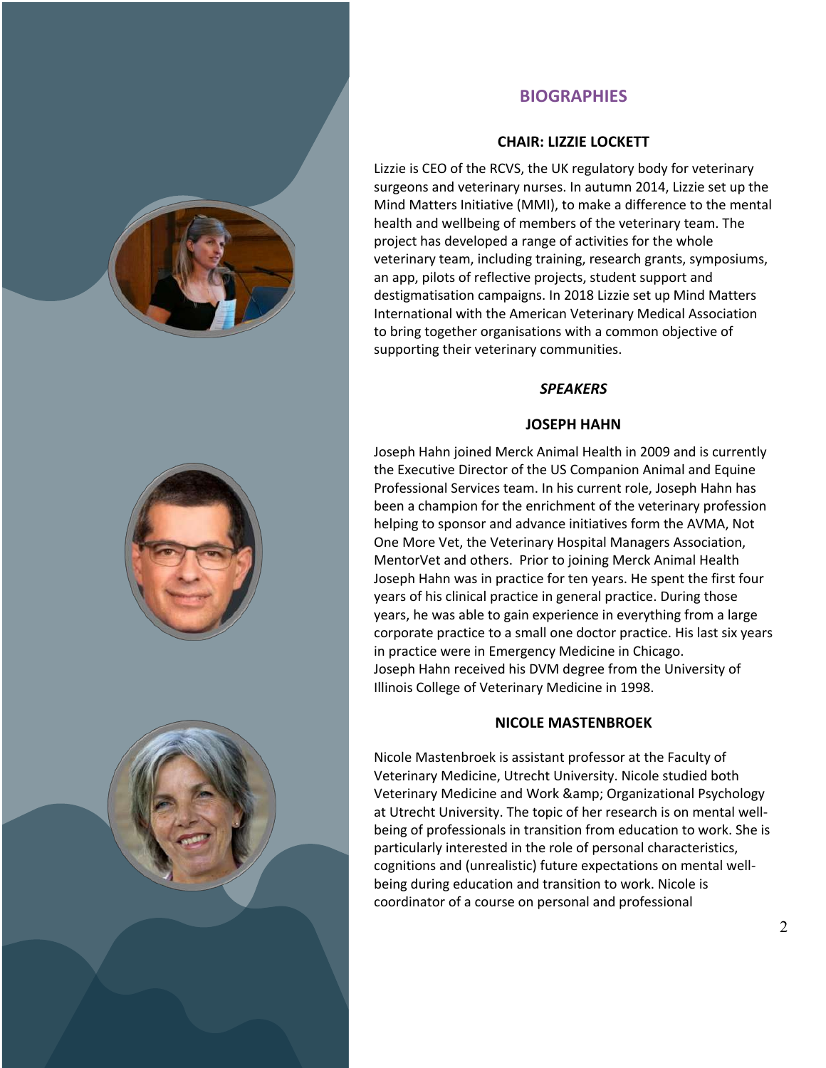

## **BIOGRAPHIES**

#### **CHAIR: LIZZIE LOCKETT**

Lizzie is CEO of the RCVS, the UK regulatory body for veterinary surgeons and veterinary nurses. In autumn 2014, Lizzie set up the Mind Matters Initiative (MMI), to make a difference to the mental health and wellbeing of members of the veterinary team. The project has developed a range of activities for the whole veterinary team, including training, research grants, symposiums, an app, pilots of reflective projects, student support and destigmatisation campaigns. In 2018 Lizzie set up Mind Matters International with the American Veterinary Medical Association to bring together organisations with a common objective of supporting their veterinary communities.

#### *SPEAKERS*

#### **JOSEPH HAHN**

Joseph Hahn joined Merck Animal Health in 2009 and is currently the Executive Director of the US Companion Animal and Equine Professional Services team. In his current role, Joseph Hahn has been a champion for the enrichment of the veterinary profession helping to sponsor and advance initiatives form the AVMA, Not One More Vet, the Veterinary Hospital Managers Association, MentorVet and others. Prior to joining Merck Animal Health Joseph Hahn was in practice for ten years. He spent the first four years of his clinical practice in general practice. During those years, he was able to gain experience in everything from a large corporate practice to a small one doctor practice. His last six years in practice were in Emergency Medicine in Chicago. Joseph Hahn received his DVM degree from the University of Illinois College of Veterinary Medicine in 1998.

#### **NICOLE MASTENBROEK**

Nicole Mastenbroek is assistant professor at the Faculty of Veterinary Medicine, Utrecht University. Nicole studied both Veterinary Medicine and Work & amp; Organizational Psychology at Utrecht University. The topic of her research is on mental wellbeing of professionals in transition from education to work. She is particularly interested in the role of personal characteristics, cognitions and (unrealistic) future expectations on mental wellbeing during education and transition to work. Nicole is coordinator of a course on personal and professional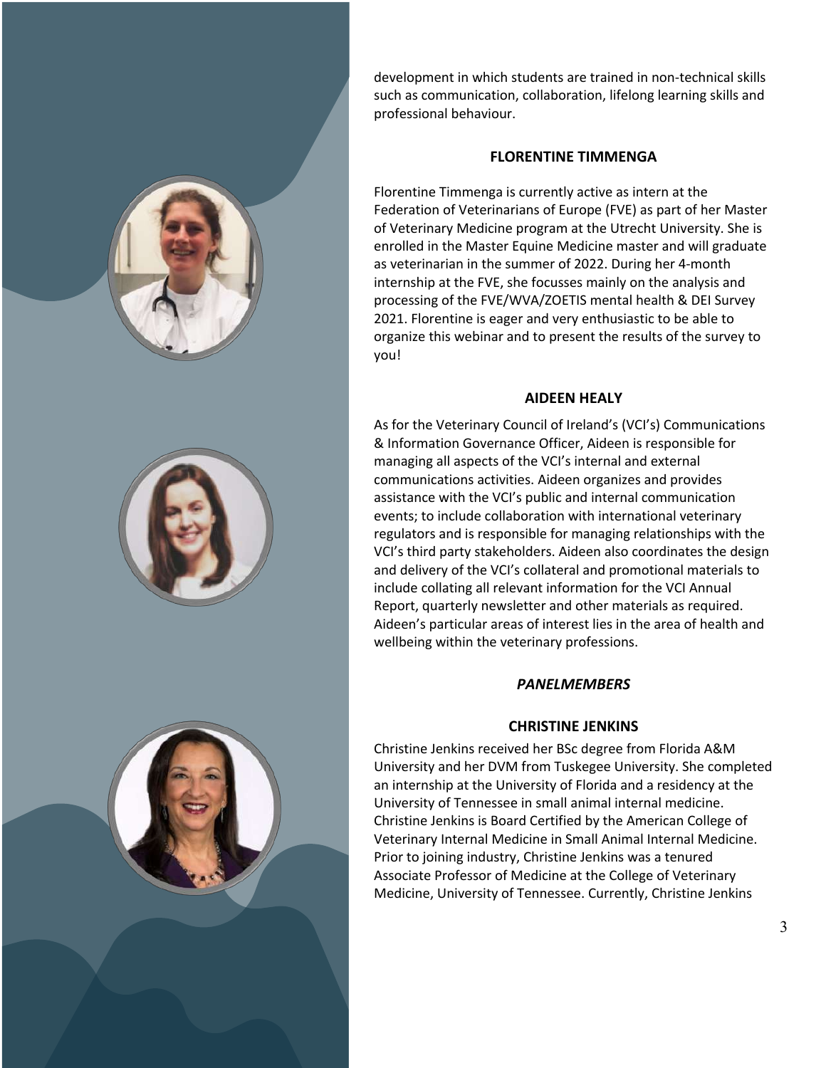

development in which students are trained in non-technical skills such as communication, collaboration, lifelong learning skills and professional behaviour.

#### **FLORENTINE TIMMENGA**

Florentine Timmenga is currently active as intern at the Federation of Veterinarians of Europe (FVE) as part of her Master of Veterinary Medicine program at the Utrecht University. She is enrolled in the Master Equine Medicine master and will graduate as veterinarian in the summer of 2022. During her 4-month internship at the FVE, she focusses mainly on the analysis and processing of the FVE/WVA/ZOETIS mental health & DEI Survey 2021. Florentine is eager and very enthusiastic to be able to organize this webinar and to present the results of the survey to you!

#### **AIDEEN HEALY**

As for the Veterinary Council of Ireland's (VCI's) Communications & Information Governance Officer, Aideen is responsible for managing all aspects of the VCI's internal and external communications activities. Aideen organizes and provides assistance with the VCI's public and internal communication events; to include collaboration with international veterinary regulators and is responsible for managing relationships with the VCI's third party stakeholders. Aideen also coordinates the design and delivery of the VCI's collateral and promotional materials to include collating all relevant information for the VCI Annual Report, quarterly newsletter and other materials as required. Aideen's particular areas of interest lies in the area of health and wellbeing within the veterinary professions.

#### *PANELMEMBERS*

#### **CHRISTINE JENKINS**

Christine Jenkins received her BSc degree from Florida A&M University and her DVM from Tuskegee University. She completed an internship at the University of Florida and a residency at the University of Tennessee in small animal internal medicine. Christine Jenkins is Board Certified by the American College of Veterinary Internal Medicine in Small Animal Internal Medicine. Prior to joining industry, Christine Jenkins was a tenured Associate Professor of Medicine at the College of Veterinary Medicine, University of Tennessee. Currently, Christine Jenkins